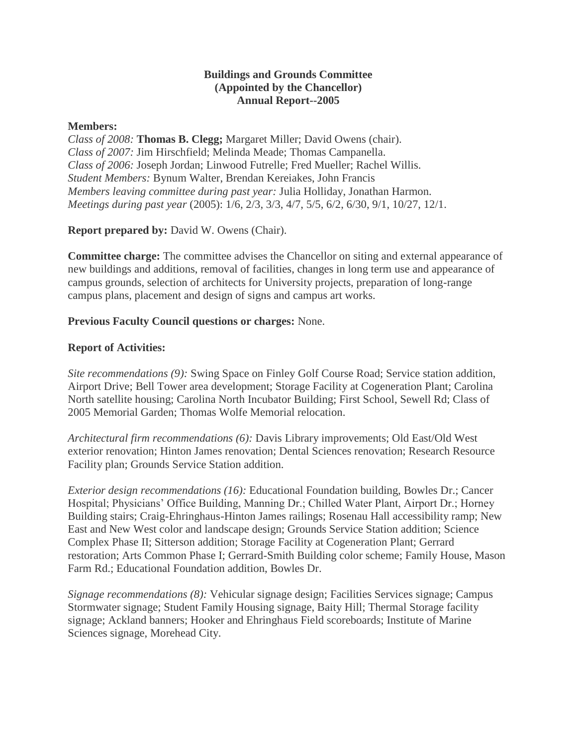## **Buildings and Grounds Committee (Appointed by the Chancellor) Annual Report--2005**

#### **Members:**

*Class of 2008:* **Thomas B. Clegg;** Margaret Miller; David Owens (chair). *Class of 2007:* Jim Hirschfield; Melinda Meade; Thomas Campanella. *Class of 2006:* Joseph Jordan; Linwood Futrelle; Fred Mueller; Rachel Willis. *Student Members:* Bynum Walter, Brendan Kereiakes, John Francis *Members leaving committee during past year:* Julia Holliday, Jonathan Harmon. *Meetings during past year* (2005): 1/6, 2/3, 3/3, 4/7, 5/5, 6/2, 6/30, 9/1, 10/27, 12/1.

# **Report prepared by:** David W. Owens (Chair).

**Committee charge:** The committee advises the Chancellor on siting and external appearance of new buildings and additions, removal of facilities, changes in long term use and appearance of campus grounds, selection of architects for University projects, preparation of long-range campus plans, placement and design of signs and campus art works.

## **Previous Faculty Council questions or charges:** None.

## **Report of Activities:**

*Site recommendations (9):* Swing Space on Finley Golf Course Road; Service station addition, Airport Drive; Bell Tower area development; Storage Facility at Cogeneration Plant; Carolina North satellite housing; Carolina North Incubator Building; First School, Sewell Rd; Class of 2005 Memorial Garden; Thomas Wolfe Memorial relocation.

*Architectural firm recommendations (6):* Davis Library improvements; Old East/Old West exterior renovation; Hinton James renovation; Dental Sciences renovation; Research Resource Facility plan; Grounds Service Station addition.

*Exterior design recommendations (16):* Educational Foundation building, Bowles Dr.; Cancer Hospital; Physicians' Office Building, Manning Dr.; Chilled Water Plant, Airport Dr.; Horney Building stairs; Craig-Ehringhaus-Hinton James railings; Rosenau Hall accessibility ramp; New East and New West color and landscape design; Grounds Service Station addition; Science Complex Phase II; Sitterson addition; Storage Facility at Cogeneration Plant; Gerrard restoration; Arts Common Phase I; Gerrard-Smith Building color scheme; Family House, Mason Farm Rd.; Educational Foundation addition, Bowles Dr.

*Signage recommendations (8):* Vehicular signage design; Facilities Services signage; Campus Stormwater signage; Student Family Housing signage, Baity Hill; Thermal Storage facility signage; Ackland banners; Hooker and Ehringhaus Field scoreboards; Institute of Marine Sciences signage, Morehead City.